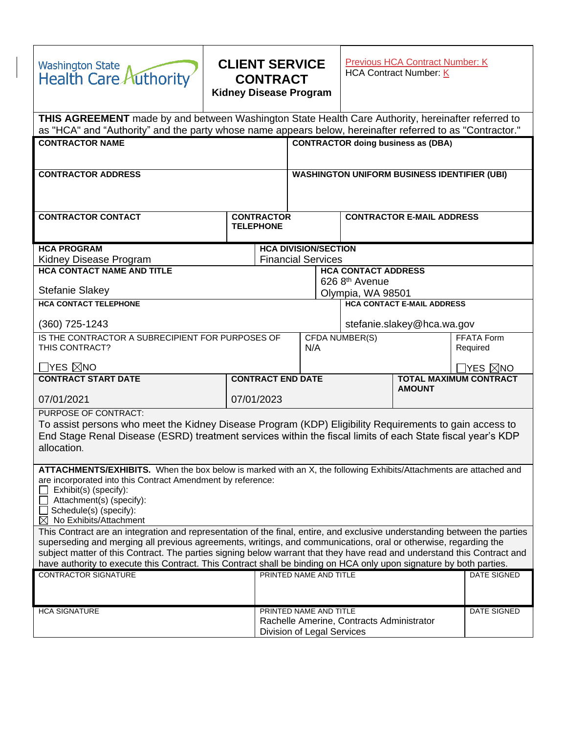| <b>Washington State</b><br><b>Health Care Authority</b>                                                                                                                                                                                                                                               | <b>CLIENT SERVICE</b><br><b>CONTRACT</b><br><b>Kidney Disease Program</b> |                                                     | <b>Previous HCA Contract Number: K</b><br>HCA Contract Number: K |                                                                                |                               |  |
|-------------------------------------------------------------------------------------------------------------------------------------------------------------------------------------------------------------------------------------------------------------------------------------------------------|---------------------------------------------------------------------------|-----------------------------------------------------|------------------------------------------------------------------|--------------------------------------------------------------------------------|-------------------------------|--|
| THIS AGREEMENT made by and between Washington State Health Care Authority, hereinafter referred to<br>as "HCA" and "Authority" and the party whose name appears below, hereinafter referred to as "Contractor."                                                                                       |                                                                           |                                                     |                                                                  |                                                                                |                               |  |
| <b>CONTRACTOR NAME</b>                                                                                                                                                                                                                                                                                |                                                                           |                                                     |                                                                  | <b>CONTRACTOR doing business as (DBA)</b>                                      |                               |  |
|                                                                                                                                                                                                                                                                                                       |                                                                           |                                                     |                                                                  |                                                                                |                               |  |
| <b>CONTRACTOR ADDRESS</b>                                                                                                                                                                                                                                                                             |                                                                           | <b>WASHINGTON UNIFORM BUSINESS IDENTIFIER (UBI)</b> |                                                                  |                                                                                |                               |  |
|                                                                                                                                                                                                                                                                                                       |                                                                           |                                                     |                                                                  |                                                                                |                               |  |
| <b>CONTRACTOR CONTACT</b>                                                                                                                                                                                                                                                                             | <b>CONTRACTOR</b>                                                         |                                                     |                                                                  | <b>CONTRACTOR E-MAIL ADDRESS</b>                                               |                               |  |
|                                                                                                                                                                                                                                                                                                       | <b>TELEPHONE</b>                                                          |                                                     |                                                                  |                                                                                |                               |  |
| <b>HCA PROGRAM</b>                                                                                                                                                                                                                                                                                    |                                                                           | <b>HCA DIVISION/SECTION</b>                         |                                                                  |                                                                                |                               |  |
| <b>Financial Services</b><br>Kidney Disease Program<br><b>HCA CONTACT NAME AND TITLE</b><br><b>HCA CONTACT ADDRESS</b>                                                                                                                                                                                |                                                                           |                                                     |                                                                  |                                                                                |                               |  |
|                                                                                                                                                                                                                                                                                                       |                                                                           | 626 8 <sup>th</sup> Avenue                          |                                                                  |                                                                                |                               |  |
| <b>Stefanie Slakey</b>                                                                                                                                                                                                                                                                                |                                                                           | Olympia, WA 98501                                   |                                                                  |                                                                                |                               |  |
| <b>HCA CONTACT TELEPHONE</b>                                                                                                                                                                                                                                                                          |                                                                           |                                                     |                                                                  | <b>HCA CONTACT E-MAIL ADDRESS</b>                                              |                               |  |
| $(360)$ 725-1243                                                                                                                                                                                                                                                                                      |                                                                           |                                                     |                                                                  | stefanie.slakey@hca.wa.gov                                                     |                               |  |
| IS THE CONTRACTOR A SUBRECIPIENT FOR PURPOSES OF<br>THIS CONTRACT?                                                                                                                                                                                                                                    |                                                                           | N/A                                                 | <b>CFDA NUMBER(S)</b>                                            |                                                                                | FFATA Form<br>Required        |  |
|                                                                                                                                                                                                                                                                                                       |                                                                           |                                                     |                                                                  |                                                                                |                               |  |
| $\Box$ YES $\boxtimes$ NO                                                                                                                                                                                                                                                                             |                                                                           |                                                     |                                                                  |                                                                                | $\Box$ YES $\boxtimes$ NO     |  |
| <b>CONTRACT START DATE</b>                                                                                                                                                                                                                                                                            | <b>CONTRACT END DATE</b>                                                  |                                                     |                                                                  | <b>AMOUNT</b>                                                                  | <b>TOTAL MAXIMUM CONTRACT</b> |  |
| 07/01/2021                                                                                                                                                                                                                                                                                            | 07/01/2023                                                                |                                                     |                                                                  |                                                                                |                               |  |
| PURPOSE OF CONTRACT:                                                                                                                                                                                                                                                                                  |                                                                           |                                                     |                                                                  |                                                                                |                               |  |
| To assist persons who meet the Kidney Disease Program (KDP) Eligibility Requirements to gain access to<br>End Stage Renal Disease (ESRD) treatment services within the fiscal limits of each State fiscal year's KDP<br>allocation.                                                                   |                                                                           |                                                     |                                                                  |                                                                                |                               |  |
| ATTACHMENTS/EXHIBITS. When the box below is marked with an X, the following Exhibits/Attachments are attached and<br>are incorporated into this Contract Amendment by reference:<br>Exhibit(s) (specify):<br>Attachment(s) (specify):<br>Schedule(s) (specify):<br>$\boxtimes$ No Exhibits/Attachment |                                                                           |                                                     |                                                                  |                                                                                |                               |  |
| This Contract are an integration and representation of the final, entire, and exclusive understanding between the parties                                                                                                                                                                             |                                                                           |                                                     |                                                                  |                                                                                |                               |  |
| superseding and merging all previous agreements, writings, and communications, oral or otherwise, regarding the<br>subject matter of this Contract. The parties signing below warrant that they have read and understand this Contract and                                                            |                                                                           |                                                     |                                                                  |                                                                                |                               |  |
| have authority to execute this Contract. This Contract shall be binding on HCA only upon signature by both parties.                                                                                                                                                                                   |                                                                           |                                                     |                                                                  |                                                                                |                               |  |
| CONTRACTOR SIGNATURE                                                                                                                                                                                                                                                                                  |                                                                           | PRINTED NAME AND TITLE                              |                                                                  |                                                                                | DATE SIGNED                   |  |
|                                                                                                                                                                                                                                                                                                       |                                                                           |                                                     |                                                                  |                                                                                |                               |  |
| <b>HCA SIGNATURE</b>                                                                                                                                                                                                                                                                                  |                                                                           | PRINTED NAME AND TITLE                              |                                                                  |                                                                                | <b>DATE SIGNED</b>            |  |
|                                                                                                                                                                                                                                                                                                       |                                                                           |                                                     |                                                                  | Rachelle Amerine, Contracts Administrator<br><b>Division of Legal Services</b> |                               |  |

 $\begin{array}{c} \begin{array}{c} \begin{array}{c} \end{array} \end{array} \end{array}$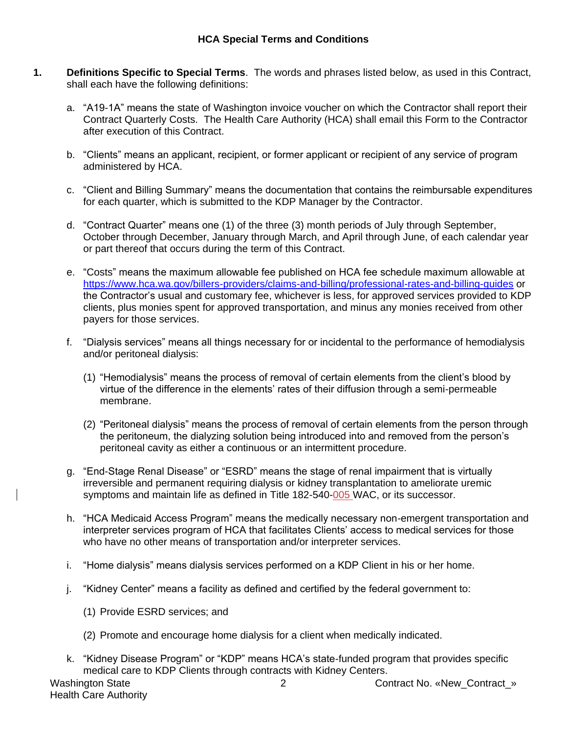### **HCA Special Terms and Conditions**

- **1. Definitions Specific to Special Terms**. The words and phrases listed below, as used in this Contract, shall each have the following definitions:
	- a. "A19-1A" means the state of Washington invoice voucher on which the Contractor shall report their Contract Quarterly Costs. The Health Care Authority (HCA) shall email this Form to the Contractor after execution of this Contract.
	- b. "Clients" means an applicant, recipient, or former applicant or recipient of any service of program administered by HCA.
	- c. "Client and Billing Summary" means the documentation that contains the reimbursable expenditures for each quarter, which is submitted to the KDP Manager by the Contractor.
	- d. "Contract Quarter" means one (1) of the three (3) month periods of July through September, October through December, January through March, and April through June, of each calendar year or part thereof that occurs during the term of this Contract.
	- e. "Costs" means the maximum allowable fee published on HCA fee schedule maximum allowable at <https://www.hca.wa.gov/billers-providers/claims-and-billing/professional-rates-and-billing-guides> or the Contractor's usual and customary fee, whichever is less, for approved services provided to KDP clients, plus monies spent for approved transportation, and minus any monies received from other payers for those services.
	- f. "Dialysis services" means all things necessary for or incidental to the performance of hemodialysis and/or peritoneal dialysis:
		- (1) "Hemodialysis" means the process of removal of certain elements from the client's blood by virtue of the difference in the elements' rates of their diffusion through a semi-permeable membrane.
		- (2) "Peritoneal dialysis" means the process of removal of certain elements from the person through the peritoneum, the dialyzing solution being introduced into and removed from the person's peritoneal cavity as either a continuous or an intermittent procedure.
	- g. "End-Stage Renal Disease" or "ESRD" means the stage of renal impairment that is virtually irreversible and permanent requiring dialysis or kidney transplantation to ameliorate uremic symptoms and maintain life as defined in Title 182-540-005 WAC, or its successor.
	- h. "HCA Medicaid Access Program" means the medically necessary non-emergent transportation and interpreter services program of HCA that facilitates Clients' access to medical services for those who have no other means of transportation and/or interpreter services.
	- i. "Home dialysis" means dialysis services performed on a KDP Client in his or her home.
	- j. "Kidney Center" means a facility as defined and certified by the federal government to:
		- (1) Provide ESRD services; and
		- (2) Promote and encourage home dialysis for a client when medically indicated.
	- k. "Kidney Disease Program" or "KDP" means HCA's state-funded program that provides specific medical care to KDP Clients through contracts with Kidney Centers.

Washington State **2** 2 Contract No. «New Contract »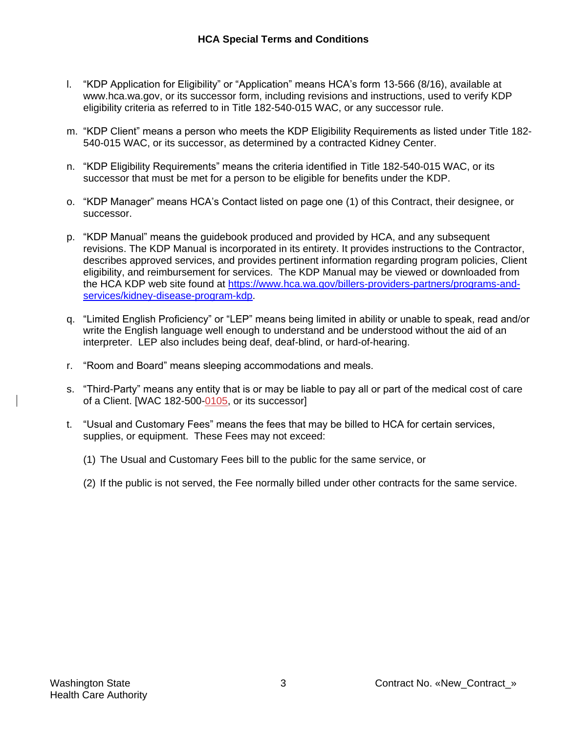- l. "KDP Application for Eligibility" or "Application" means HCA's form 13-566 (8/16), available at [www.hca.wa.gov,](http://www.hca.wa.gov/) or its successor form, including revisions and instructions, used to verify KDP eligibility criteria as referred to in Title 182-540-015 WAC, or any successor rule.
- m. "KDP Client" means a person who meets the KDP Eligibility Requirements as listed under Title 182- 540-015 WAC, or its successor, as determined by a contracted Kidney Center.
- n. "KDP Eligibility Requirements" means the criteria identified in Title 182-540-015 WAC, or its successor that must be met for a person to be eligible for benefits under the KDP.
- o. "KDP Manager" means HCA's Contact listed on page one (1) of this Contract, their designee, or successor.
- p. "KDP Manual" means the guidebook produced and provided by HCA, and any subsequent revisions. The KDP Manual is incorporated in its entirety. It provides instructions to the Contractor, describes approved services, and provides pertinent information regarding program policies, Client eligibility, and reimbursement for services. The KDP Manual may be viewed or downloaded from the HCA KDP web site found at [https://www.hca.wa.gov/billers-providers-partners/programs-and](https://www.hca.wa.gov/billers-providers-partners/programs-and-services/kidney-disease-program-kdp)[services/kidney-disease-program-kdp.](https://www.hca.wa.gov/billers-providers-partners/programs-and-services/kidney-disease-program-kdp)
- q. "Limited English Proficiency" or "LEP" means being limited in ability or unable to speak, read and/or write the English language well enough to understand and be understood without the aid of an interpreter. LEP also includes being deaf, deaf-blind, or hard-of-hearing.
- r. "Room and Board" means sleeping accommodations and meals.
- s. "Third-Party" means any entity that is or may be liable to pay all or part of the medical cost of care of a Client. [WAC 182-500-0105, or its successor]
- t. "Usual and Customary Fees" means the fees that may be billed to HCA for certain services, supplies, or equipment. These Fees may not exceed:
	- (1) The Usual and Customary Fees bill to the public for the same service, or
	- (2) If the public is not served, the Fee normally billed under other contracts for the same service.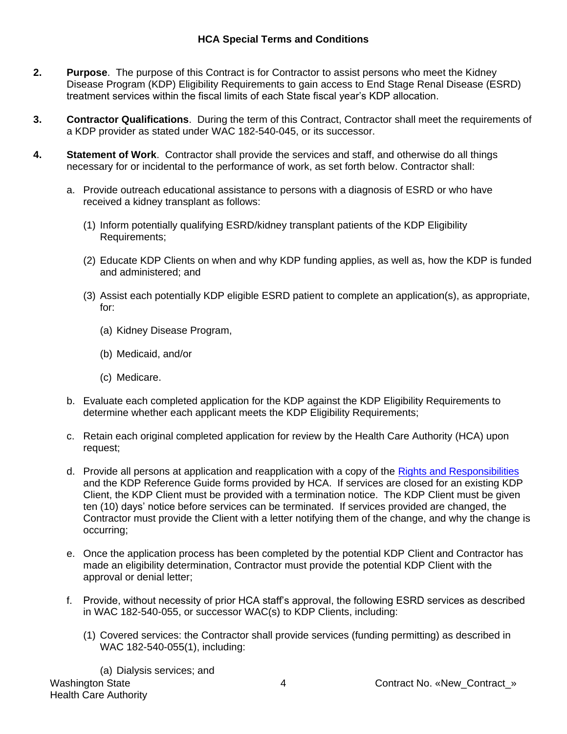- **2. Purpose**. The purpose of this Contract is for Contractor to assist persons who meet the Kidney Disease Program (KDP) Eligibility Requirements to gain access to End Stage Renal Disease (ESRD) treatment services within the fiscal limits of each State fiscal year's KDP allocation.
- **3. Contractor Qualifications**. During the term of this Contract, Contractor shall meet the requirements of a KDP provider as stated under [WAC 182-540-045,](http://apps.leg.wa.gov/WAC/default.aspx?cite=182-540-045) or its successor.
- **4. Statement of Work**. Contractor shall provide the services and staff, and otherwise do all things necessary for or incidental to the performance of work, as set forth below. Contractor shall:
	- a. Provide outreach educational assistance to persons with a diagnosis of ESRD or who have received a kidney transplant as follows:
		- (1) Inform potentially qualifying ESRD/kidney transplant patients of the KDP Eligibility Requirements;
		- (2) Educate KDP Clients on when and why KDP funding applies, as well as, how the KDP is funded and administered; and
		- (3) Assist each potentially KDP eligible ESRD patient to complete an application(s), as appropriate, for:
			- (a) Kidney Disease Program,
			- (b) Medicaid, and/or
			- (c) Medicare.
	- b. Evaluate each completed application for the KDP against the KDP Eligibility Requirements to determine whether each applicant meets the KDP Eligibility Requirements;
	- c. Retain each original completed application for review by the Health Care Authority (HCA) upon request;
	- d. Provide all persons at application and reapplication with a copy of the Rights and [Responsibilities](https://www.hca.wa.gov/billers-providers/programs-and-services/kidney-disease-program-kdp) [and the KDP Reference Guide](https://www.hca.wa.gov/billers-providers/programs-and-services/kidney-disease-program-kdp) forms provided by HCA. If services are closed for an existing KDP Client, the KDP Client must be provided with a termination notice. The KDP Client must be given ten (10) days' notice before services can be terminated. If services provided are changed, the Contractor must provide the Client with a letter notifying them of the change, and why the change is occurring;
	- e. Once the application process has been completed by the potential KDP Client and Contractor has made an eligibility determination, Contractor must provide the potential KDP Client with the approval or denial letter;
	- f. Provide, without necessity of prior HCA staff's approval, the following ESRD services as described in [WAC 182-540-055,](http://apps.leg.wa.gov/WAC/default.aspx?cite=182-540-055) or successor WAC(s) to KDP Clients, including:
		- (1) Covered services: the Contractor shall provide services (funding permitting) as described in WAC 182-540-055(1), including: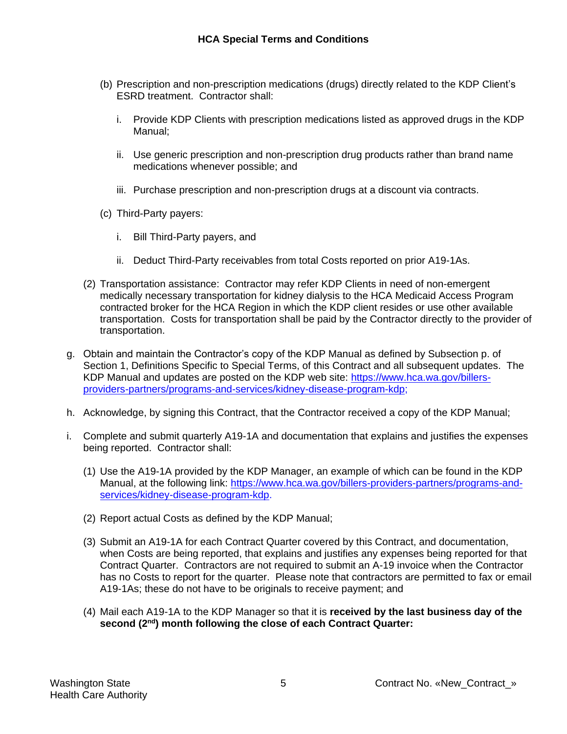- (b) Prescription and non-prescription medications (drugs) directly related to the KDP Client's ESRD treatment. Contractor shall:
	- i. Provide KDP Clients with prescription medications listed as approved drugs in the KDP Manual;
	- ii. Use generic prescription and non-prescription drug products rather than brand name medications whenever possible; and
	- iii. Purchase prescription and non-prescription drugs at a discount via contracts.
- (c) Third-Party payers:
	- i. Bill Third-Party payers, and
	- ii. Deduct Third-Party receivables from total Costs reported on prior A19-1As.
- (2) Transportation assistance: Contractor may refer KDP Clients in need of non-emergent medically necessary transportation for kidney dialysis to the HCA Medicaid Access Program contracted broker for the HCA Region in which the KDP client resides or use other available transportation. Costs for transportation shall be paid by the Contractor directly to the provider of transportation.
- g. Obtain and maintain the Contractor's copy of the KDP Manual as defined by Subsection p. of Section 1, Definitions Specific to Special Terms, of this Contract and all subsequent updates. The KDP Manual and updates are posted on the KDP web site: [https://www.hca.wa.gov/billers](https://www.hca.wa.gov/billers-providers-partners/programs-and-services/kidney-disease-program-kdp)[providers-partners/programs-and-services/kidney-disease-program-kdp;](https://www.hca.wa.gov/billers-providers-partners/programs-and-services/kidney-disease-program-kdp)
- h. Acknowledge, by signing this Contract, that the Contractor received a copy of the KDP Manual;
- i. Complete and submit quarterly A19-1A and documentation that explains and justifies the expenses being reported. Contractor shall:
	- (1) Use the A19-1A provided by the KDP Manager, an example of which can be found in the KDP Manual, at the following link: [https://www.hca.wa.gov/billers-providers-partners/programs-and](https://www.hca.wa.gov/billers-providers-partners/programs-and-services/kidney-disease-program-kdp)[services/kidney-disease-program-kdp.](https://www.hca.wa.gov/billers-providers-partners/programs-and-services/kidney-disease-program-kdp)
	- (2) Report actual Costs as defined by the KDP Manual;
	- (3) Submit an A19-1A for each Contract Quarter covered by this Contract, and documentation, when Costs are being reported, that explains and justifies any expenses being reported for that Contract Quarter. Contractors are not required to submit an A-19 invoice when the Contractor has no Costs to report for the quarter. Please note that contractors are permitted to fax or email A19-1As; these do not have to be originals to receive payment; and
	- (4) Mail each A19-1A to the KDP Manager so that it is **received by the last business day of the second (2nd) month following the close of each Contract Quarter:**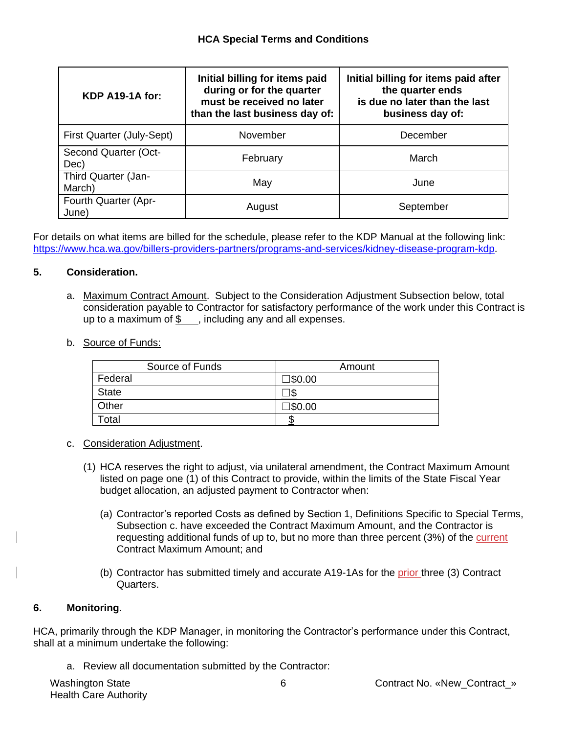| KDP A19-1A for:               | Initial billing for items paid<br>during or for the quarter<br>must be received no later<br>than the last business day of: | Initial billing for items paid after<br>the quarter ends<br>is due no later than the last<br>business day of: |  |  |
|-------------------------------|----------------------------------------------------------------------------------------------------------------------------|---------------------------------------------------------------------------------------------------------------|--|--|
| First Quarter (July-Sept)     | November                                                                                                                   | December                                                                                                      |  |  |
| Second Quarter (Oct-<br>Dec)  | February                                                                                                                   | March                                                                                                         |  |  |
| Third Quarter (Jan-<br>March) | May                                                                                                                        | June                                                                                                          |  |  |
| Fourth Quarter (Apr-<br>June) | August                                                                                                                     | September                                                                                                     |  |  |

For details on what items are billed for the schedule, please refer to the KDP Manual at the following link: [https://www.hca.wa.gov/billers-providers-partners/programs-and-services/kidney-disease-program-kdp.](https://www.hca.wa.gov/billers-providers-partners/programs-and-services/kidney-disease-program-kdp)

# **5. Consideration.**

- a. Maximum Contract Amount. Subject to the Consideration Adjustment Subsection below, total consideration payable to Contractor for satisfactory performance of the work under this Contract is up to a maximum of  $\frac{1}{2}$ , including any and all expenses.
- b. Source of Funds:

| Source of Funds | Amount  |
|-----------------|---------|
| Federal         | ]\$0.00 |
| <b>State</b>    |         |
| Other           | ]\$0.00 |
| Total           |         |

- c. Consideration Adjustment.
	- (1) HCA reserves the right to adjust, via unilateral amendment, the Contract Maximum Amount listed on page one (1) of this Contract to provide, within the limits of the State Fiscal Year budget allocation, an adjusted payment to Contractor when:
		- (a) Contractor's reported Costs as defined by Section 1, Definitions Specific to Special Terms, Subsection c. have exceeded the Contract Maximum Amount, and the Contractor is requesting additional funds of up to, but no more than three percent (3%) of the current Contract Maximum Amount; and
		- (b) Contractor has submitted timely and accurate A19-1As for the prior three (3) Contract Quarters.

# **6. Monitoring**.

HCA, primarily through the KDP Manager, in monitoring the Contractor's performance under this Contract, shall at a minimum undertake the following:

a. Review all documentation submitted by the Contractor:

Health Care Authority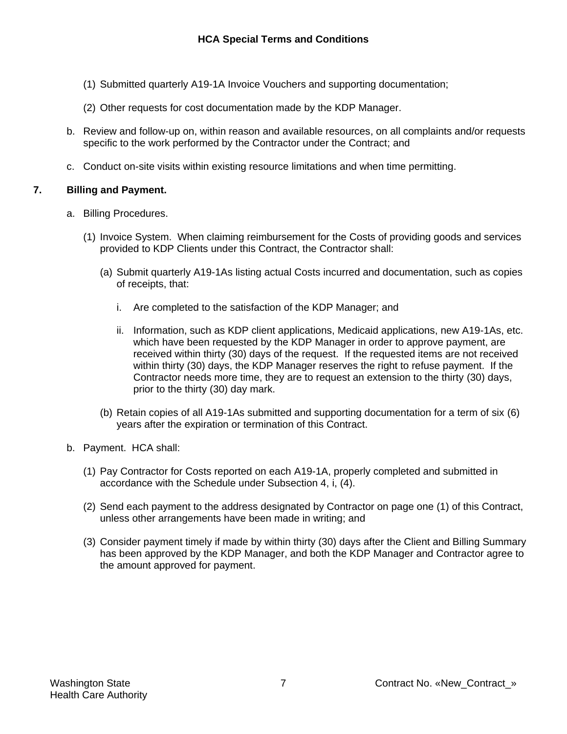- (1) Submitted quarterly A19-1A Invoice Vouchers and supporting documentation;
- (2) Other requests for cost documentation made by the KDP Manager.
- b. Review and follow-up on, within reason and available resources, on all complaints and/or requests specific to the work performed by the Contractor under the Contract; and
- c. Conduct on-site visits within existing resource limitations and when time permitting.

### **7. Billing and Payment.**

- a. Billing Procedures.
	- (1) Invoice System. When claiming reimbursement for the Costs of providing goods and services provided to KDP Clients under this Contract, the Contractor shall:
		- (a) Submit quarterly A19-1As listing actual Costs incurred and documentation, such as copies of receipts, that:
			- i. Are completed to the satisfaction of the KDP Manager; and
			- ii. Information, such as KDP client applications, Medicaid applications, new A19-1As, etc. which have been requested by the KDP Manager in order to approve payment, are received within thirty (30) days of the request. If the requested items are not received within thirty (30) days, the KDP Manager reserves the right to refuse payment. If the Contractor needs more time, they are to request an extension to the thirty (30) days, prior to the thirty (30) day mark.
		- (b) Retain copies of all A19-1As submitted and supporting documentation for a term of six (6) years after the expiration or termination of this Contract.
- b. Payment. HCA shall:
	- (1) Pay Contractor for Costs reported on each A19-1A, properly completed and submitted in accordance with the Schedule under Subsection 4, i, (4).
	- (2) Send each payment to the address designated by Contractor on page one (1) of this Contract, unless other arrangements have been made in writing; and
	- (3) Consider payment timely if made by within thirty (30) days after the Client and Billing Summary has been approved by the KDP Manager, and both the KDP Manager and Contractor agree to the amount approved for payment.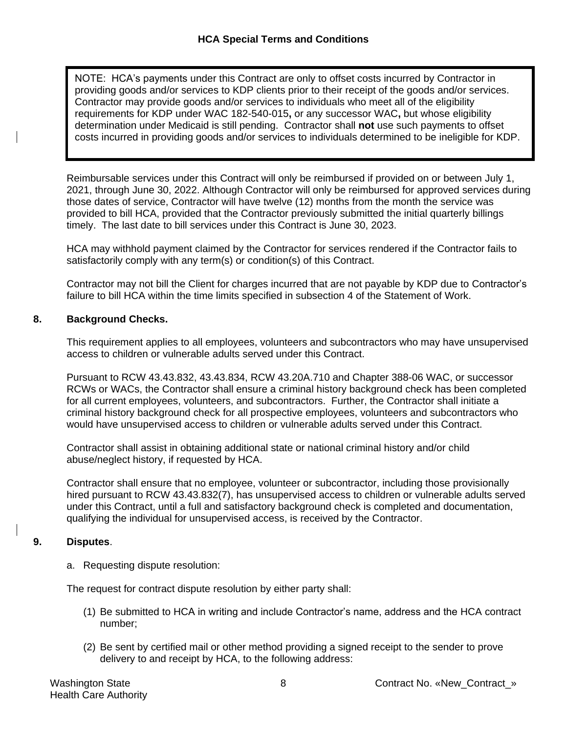NOTE: HCA's payments under this Contract are only to offset costs incurred by Contractor in providing goods and/or services to KDP clients prior to their receipt of the goods and/or services. Contractor may provide goods and/or services to individuals who meet all of the eligibility requirements for KDP under WAC 182-540-015**,** or any successor WAC**,** but whose eligibility determination under Medicaid is still pending. Contractor shall **not** use such payments to offset costs incurred in providing goods and/or services to individuals determined to be ineligible for KDP.

Reimbursable services under this Contract will only be reimbursed if provided on or between July 1, 2021, through June 30, 2022. Although Contractor will only be reimbursed for approved services during those dates of service, Contractor will have twelve (12) months from the month the service was provided to bill HCA, provided that the Contractor previously submitted the initial quarterly billings timely. The last date to bill services under this Contract is June 30, 2023.

HCA may withhold payment claimed by the Contractor for services rendered if the Contractor fails to satisfactorily comply with any term(s) or condition(s) of this Contract.

Contractor may not bill the Client for charges incurred that are not payable by KDP due to Contractor's failure to bill HCA within the time limits specified in subsection 4 of the Statement of Work.

# **8. Background Checks.**

This requirement applies to all employees, volunteers and subcontractors who may have unsupervised access to children or vulnerable adults served under this Contract.

Pursuant to RCW 43.43.832, 43.43.834, RCW 43.20A.710 and Chapter 388-06 WAC, or successor RCWs or WACs, the Contractor shall ensure a criminal history background check has been completed for all current employees, volunteers, and subcontractors. Further, the Contractor shall initiate a criminal history background check for all prospective employees, volunteers and subcontractors who would have unsupervised access to children or vulnerable adults served under this Contract.

Contractor shall assist in obtaining additional state or national criminal history and/or child abuse/neglect history, if requested by HCA.

Contractor shall ensure that no employee, volunteer or subcontractor, including those provisionally hired pursuant to RCW 43.43.832(7), has unsupervised access to children or vulnerable adults served under this Contract, until a full and satisfactory background check is completed and documentation, qualifying the individual for unsupervised access, is received by the Contractor.

# **9. Disputes**.

a. Requesting dispute resolution:

The request for contract dispute resolution by either party shall:

- (1) Be submitted to HCA in writing and include Contractor's name, address and the HCA contract number;
- (2) Be sent by certified mail or other method providing a signed receipt to the sender to prove delivery to and receipt by HCA, to the following address: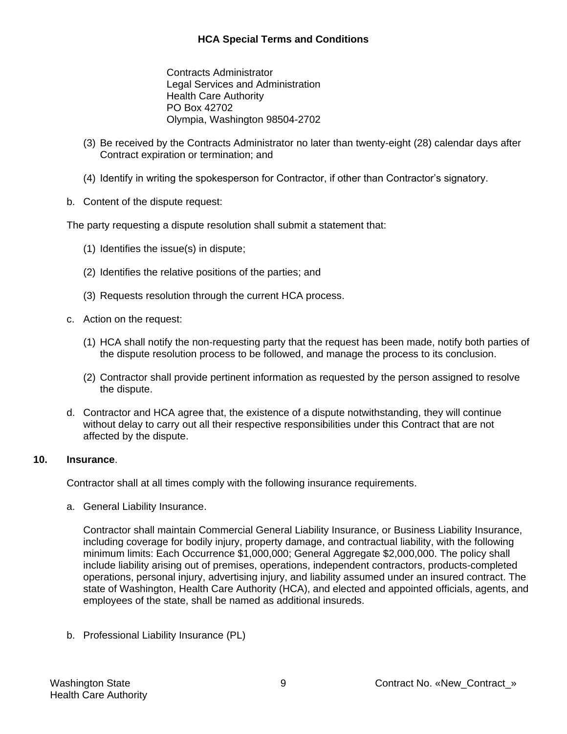### **HCA Special Terms and Conditions**

Contracts Administrator Legal Services and Administration Health Care Authority PO Box 42702 Olympia, Washington 98504-2702

- (3) Be received by the Contracts Administrator no later than twenty-eight (28) calendar days after Contract expiration or termination; and
- (4) Identify in writing the spokesperson for Contractor, if other than Contractor's signatory.
- b. Content of the dispute request:

The party requesting a dispute resolution shall submit a statement that:

- (1) Identifies the issue(s) in dispute;
- (2) Identifies the relative positions of the parties; and
- (3) Requests resolution through the current HCA process.
- c. Action on the request:
	- (1) HCA shall notify the non-requesting party that the request has been made, notify both parties of the dispute resolution process to be followed, and manage the process to its conclusion.
	- (2) Contractor shall provide pertinent information as requested by the person assigned to resolve the dispute.
- d. Contractor and HCA agree that, the existence of a dispute notwithstanding, they will continue without delay to carry out all their respective responsibilities under this Contract that are not affected by the dispute.

#### **10. Insurance**.

Contractor shall at all times comply with the following insurance requirements.

a. General Liability Insurance.

Contractor shall maintain Commercial General Liability Insurance, or Business Liability Insurance, including coverage for bodily injury, property damage, and contractual liability, with the following minimum limits: Each Occurrence \$1,000,000; General Aggregate \$2,000,000. The policy shall include liability arising out of premises, operations, independent contractors, products-completed operations, personal injury, advertising injury, and liability assumed under an insured contract. The state of Washington, Health Care Authority (HCA), and elected and appointed officials, agents, and employees of the state, shall be named as additional insureds.

b. Professional Liability Insurance (PL)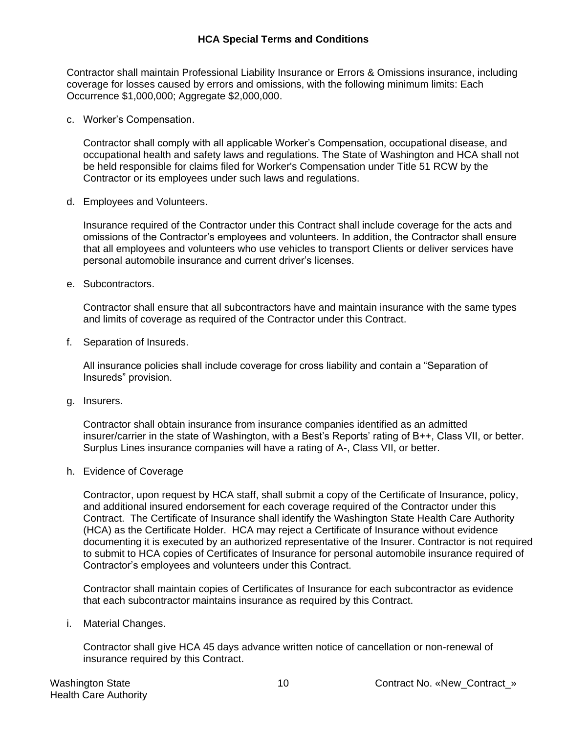Contractor shall maintain Professional Liability Insurance or Errors & Omissions insurance, including coverage for losses caused by errors and omissions, with the following minimum limits: Each Occurrence \$1,000,000; Aggregate \$2,000,000.

c. Worker's Compensation.

Contractor shall comply with all applicable Worker's Compensation, occupational disease, and occupational health and safety laws and regulations. The State of Washington and HCA shall not be held responsible for claims filed for Worker's Compensation under Title 51 RCW by the Contractor or its employees under such laws and regulations.

d. Employees and Volunteers.

Insurance required of the Contractor under this Contract shall include coverage for the acts and omissions of the Contractor's employees and volunteers. In addition, the Contractor shall ensure that all employees and volunteers who use vehicles to transport Clients or deliver services have personal automobile insurance and current driver's licenses.

e. Subcontractors.

Contractor shall ensure that all subcontractors have and maintain insurance with the same types and limits of coverage as required of the Contractor under this Contract.

f. Separation of Insureds.

All insurance policies shall include coverage for cross liability and contain a "Separation of Insureds" provision.

g. Insurers.

Contractor shall obtain insurance from insurance companies identified as an admitted insurer/carrier in the state of Washington, with a Best's Reports' rating of B++, Class VII, or better. Surplus Lines insurance companies will have a rating of A-, Class VII, or better.

h. Evidence of Coverage

Contractor, upon request by HCA staff, shall submit a copy of the Certificate of Insurance, policy, and additional insured endorsement for each coverage required of the Contractor under this Contract. The Certificate of Insurance shall identify the Washington State Health Care Authority (HCA) as the Certificate Holder. HCA may reject a Certificate of Insurance without evidence documenting it is executed by an authorized representative of the Insurer. Contractor is not required to submit to HCA copies of Certificates of Insurance for personal automobile insurance required of Contractor's employees and volunteers under this Contract.

Contractor shall maintain copies of Certificates of Insurance for each subcontractor as evidence that each subcontractor maintains insurance as required by this Contract.

i. Material Changes.

Contractor shall give HCA 45 days advance written notice of cancellation or non-renewal of insurance required by this Contract.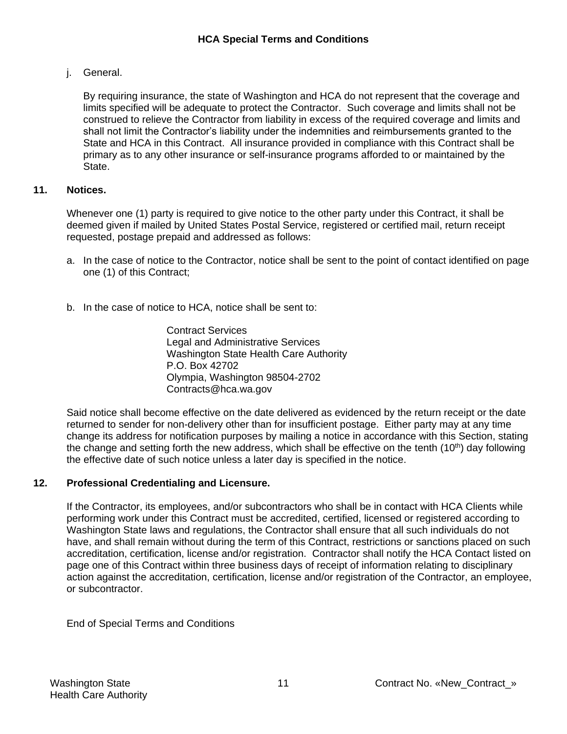j. General.

By requiring insurance, the state of Washington and HCA do not represent that the coverage and limits specified will be adequate to protect the Contractor. Such coverage and limits shall not be construed to relieve the Contractor from liability in excess of the required coverage and limits and shall not limit the Contractor's liability under the indemnities and reimbursements granted to the State and HCA in this Contract. All insurance provided in compliance with this Contract shall be primary as to any other insurance or self-insurance programs afforded to or maintained by the State.

### **11. Notices.**

Whenever one (1) party is required to give notice to the other party under this Contract, it shall be deemed given if mailed by United States Postal Service, registered or certified mail, return receipt requested, postage prepaid and addressed as follows:

- a. In the case of notice to the Contractor, notice shall be sent to the point of contact identified on page one (1) of this Contract;
- b. In the case of notice to HCA, notice shall be sent to:

Contract Services Legal and Administrative Services Washington State Health Care Authority P.O. Box 42702 Olympia, Washington 98504-2702 [Contracts@hca.wa.gov](mailto:Contracts@hca.wa.gov)

Said notice shall become effective on the date delivered as evidenced by the return receipt or the date returned to sender for non-delivery other than for insufficient postage. Either party may at any time change its address for notification purposes by mailing a notice in accordance with this Section, stating the change and setting forth the new address, which shall be effective on the tenth  $(10<sup>th</sup>)$  day following the effective date of such notice unless a later day is specified in the notice.

#### **12. Professional Credentialing and Licensure.**

If the Contractor, its employees, and/or subcontractors who shall be in contact with HCA Clients while performing work under this Contract must be accredited, certified, licensed or registered according to Washington State laws and regulations, the Contractor shall ensure that all such individuals do not have, and shall remain without during the term of this Contract, restrictions or sanctions placed on such accreditation, certification, license and/or registration. Contractor shall notify the HCA Contact listed on page one of this Contract within three business days of receipt of information relating to disciplinary action against the accreditation, certification, license and/or registration of the Contractor, an employee, or subcontractor.

End of Special Terms and Conditions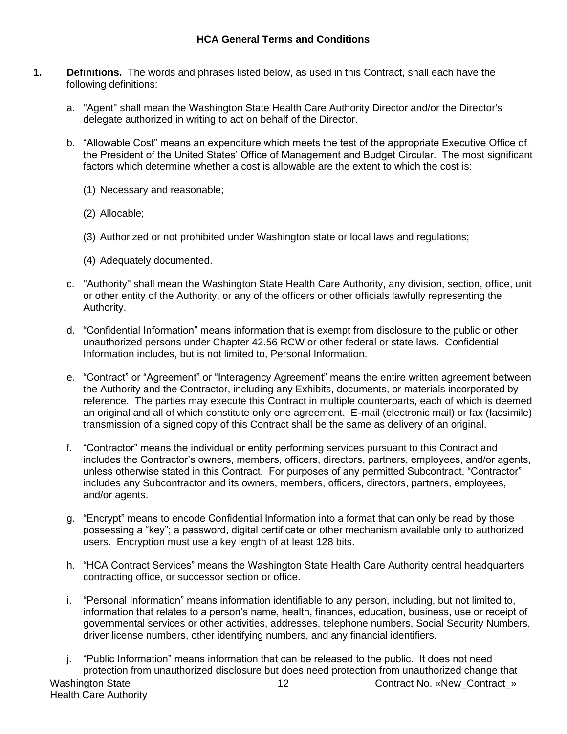- **1. Definitions.** The words and phrases listed below, as used in this Contract, shall each have the following definitions:
	- a. "Agent" shall mean the Washington State Health Care Authority Director and/or the Director's delegate authorized in writing to act on behalf of the Director.
	- b. "Allowable Cost" means an expenditure which meets the test of the appropriate Executive Office of the President of the United States' Office of Management and Budget Circular. The most significant factors which determine whether a cost is allowable are the extent to which the cost is:
		- (1) Necessary and reasonable;
		- (2) Allocable;
		- (3) Authorized or not prohibited under Washington state or local laws and regulations;
		- (4) Adequately documented.
	- c. "Authority" shall mean the Washington State Health Care Authority, any division, section, office, unit or other entity of the Authority, or any of the officers or other officials lawfully representing the Authority.
	- d. "Confidential Information" means information that is exempt from disclosure to the public or other unauthorized persons under Chapter 42.56 RCW or other federal or state laws. Confidential Information includes, but is not limited to, Personal Information.
	- e. "Contract" or "Agreement" or "Interagency Agreement" means the entire written agreement between the Authority and the Contractor, including any Exhibits, documents, or materials incorporated by reference. The parties may execute this Contract in multiple counterparts, each of which is deemed an original and all of which constitute only one agreement. E-mail (electronic mail) or fax (facsimile) transmission of a signed copy of this Contract shall be the same as delivery of an original.
	- f. "Contractor" means the individual or entity performing services pursuant to this Contract and includes the Contractor's owners, members, officers, directors, partners, employees, and/or agents, unless otherwise stated in this Contract. For purposes of any permitted Subcontract, "Contractor" includes any Subcontractor and its owners, members, officers, directors, partners, employees, and/or agents.
	- g. "Encrypt" means to encode Confidential Information into a format that can only be read by those possessing a "key"; a password, digital certificate or other mechanism available only to authorized users. Encryption must use a key length of at least 128 bits.
	- h. "HCA Contract Services" means the Washington State Health Care Authority central headquarters contracting office, or successor section or office.
	- i. "Personal Information" means information identifiable to any person, including, but not limited to, information that relates to a person's name, health, finances, education, business, use or receipt of governmental services or other activities, addresses, telephone numbers, Social Security Numbers, driver license numbers, other identifying numbers, and any financial identifiers.
	- Washington State 12 Contract No. «New Contract » Health Care Authority j. "Public Information" means information that can be released to the public. It does not need protection from unauthorized disclosure but does need protection from unauthorized change that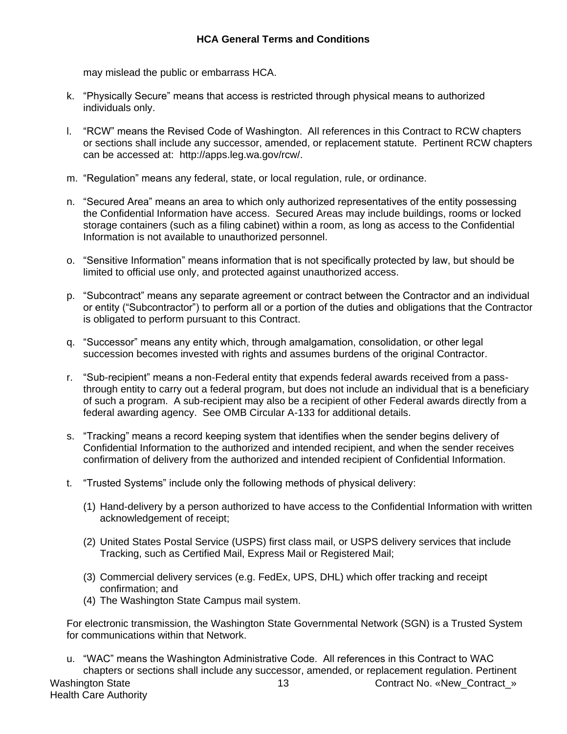may mislead the public or embarrass HCA.

- k. "Physically Secure" means that access is restricted through physical means to authorized individuals only.
- l. "RCW" means the Revised Code of Washington. All references in this Contract to RCW chapters or sections shall include any successor, amended, or replacement statute. Pertinent RCW chapters can be accessed at: [http://apps.leg.wa.gov/rcw/.](http://apps.leg.wa.gov/rcw/)
- m. "Regulation" means any federal, state, or local regulation, rule, or ordinance.
- n. "Secured Area" means an area to which only authorized representatives of the entity possessing the Confidential Information have access. Secured Areas may include buildings, rooms or locked storage containers (such as a filing cabinet) within a room, as long as access to the Confidential Information is not available to unauthorized personnel.
- o. "Sensitive Information" means information that is not specifically protected by law, but should be limited to official use only, and protected against unauthorized access.
- p. "Subcontract" means any separate agreement or contract between the Contractor and an individual or entity ("Subcontractor") to perform all or a portion of the duties and obligations that the Contractor is obligated to perform pursuant to this Contract.
- q. "Successor" means any entity which, through amalgamation, consolidation, or other legal succession becomes invested with rights and assumes burdens of the original Contractor.
- r. "Sub-recipient" means a non-Federal entity that expends federal awards received from a passthrough entity to carry out a federal program, but does not include an individual that is a beneficiary of such a program. A sub-recipient may also be a recipient of other Federal awards directly from a federal awarding agency. See OMB Circular A-133 for additional details.
- s. "Tracking" means a record keeping system that identifies when the sender begins delivery of Confidential Information to the authorized and intended recipient, and when the sender receives confirmation of delivery from the authorized and intended recipient of Confidential Information.
- t. "Trusted Systems" include only the following methods of physical delivery:
	- (1) Hand-delivery by a person authorized to have access to the Confidential Information with written acknowledgement of receipt;
	- (2) United States Postal Service (USPS) first class mail, or USPS delivery services that include Tracking, such as Certified Mail, Express Mail or Registered Mail;
	- (3) Commercial delivery services (e.g. FedEx, UPS, DHL) which offer tracking and receipt confirmation; and
	- (4) The Washington State Campus mail system.

For electronic transmission, the Washington State Governmental Network (SGN) is a Trusted System for communications within that Network.

Washington State 13 Contract No. «New Contract No. » Health Care Authority u. "WAC" means the Washington Administrative Code. All references in this Contract to WAC chapters or sections shall include any successor, amended, or replacement regulation. Pertinent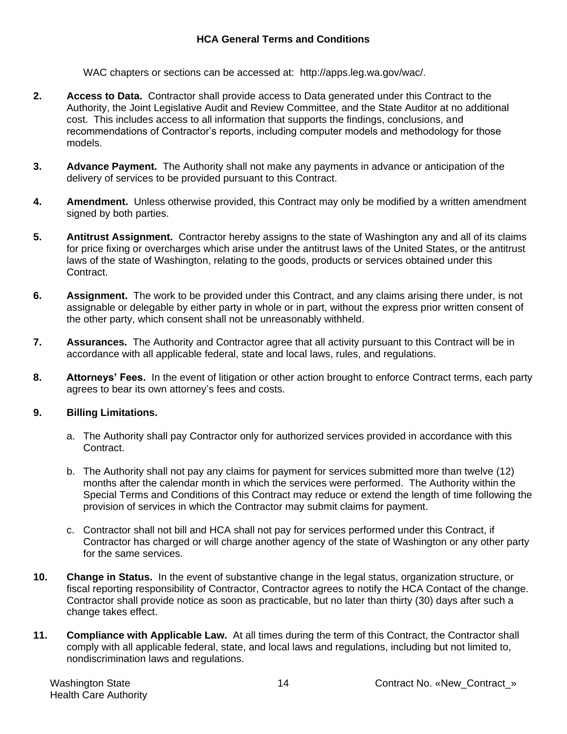WAC chapters or sections can be accessed at: [http://apps.leg.wa.gov/wac/.](http://apps.leg.wa.gov/wac/)

- **2. Access to Data.** Contractor shall provide access to Data generated under this Contract to the Authority, the Joint Legislative Audit and Review Committee, and the State Auditor at no additional cost. This includes access to all information that supports the findings, conclusions, and recommendations of Contractor's reports, including computer models and methodology for those models.
- **3. Advance Payment.** The Authority shall not make any payments in advance or anticipation of the delivery of services to be provided pursuant to this Contract.
- **4. Amendment.** Unless otherwise provided, this Contract may only be modified by a written amendment signed by both parties.
- **5. Antitrust Assignment.** Contractor hereby assigns to the state of Washington any and all of its claims for price fixing or overcharges which arise under the antitrust laws of the United States, or the antitrust laws of the state of Washington, relating to the goods, products or services obtained under this Contract.
- **6. Assignment.** The work to be provided under this Contract, and any claims arising there under, is not assignable or delegable by either party in whole or in part, without the express prior written consent of the other party, which consent shall not be unreasonably withheld.
- **7. Assurances.** The Authority and Contractor agree that all activity pursuant to this Contract will be in accordance with all applicable federal, state and local laws, rules, and regulations.
- **8. Attorneys' Fees.** In the event of litigation or other action brought to enforce Contract terms, each party agrees to bear its own attorney's fees and costs.

# **9. Billing Limitations.**

- a. The Authority shall pay Contractor only for authorized services provided in accordance with this Contract.
- b. The Authority shall not pay any claims for payment for services submitted more than twelve (12) months after the calendar month in which the services were performed. The Authority within the Special Terms and Conditions of this Contract may reduce or extend the length of time following the provision of services in which the Contractor may submit claims for payment.
- c. Contractor shall not bill and HCA shall not pay for services performed under this Contract, if Contractor has charged or will charge another agency of the state of Washington or any other party for the same services.
- **10. Change in Status.** In the event of substantive change in the legal status, organization structure, or fiscal reporting responsibility of Contractor, Contractor agrees to notify the HCA Contact of the change. Contractor shall provide notice as soon as practicable, but no later than thirty (30) days after such a change takes effect.
- **11. Compliance with Applicable Law.** At all times during the term of this Contract, the Contractor shall comply with all applicable federal, state, and local laws and regulations, including but not limited to, nondiscrimination laws and regulations.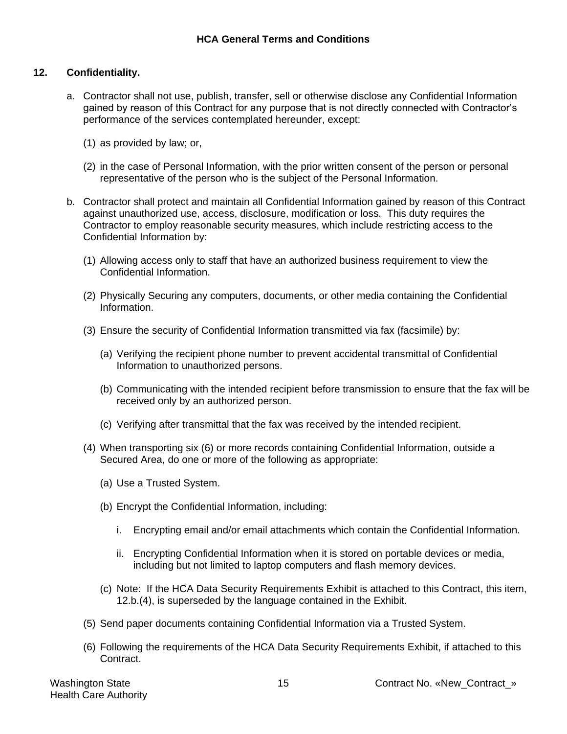# **12. Confidentiality.**

- a. Contractor shall not use, publish, transfer, sell or otherwise disclose any Confidential Information gained by reason of this Contract for any purpose that is not directly connected with Contractor's performance of the services contemplated hereunder, except:
	- (1) as provided by law; or,
	- (2) in the case of Personal Information, with the prior written consent of the person or personal representative of the person who is the subject of the Personal Information.
- b. Contractor shall protect and maintain all Confidential Information gained by reason of this Contract against unauthorized use, access, disclosure, modification or loss. This duty requires the Contractor to employ reasonable security measures, which include restricting access to the Confidential Information by:
	- (1) Allowing access only to staff that have an authorized business requirement to view the Confidential Information.
	- (2) Physically Securing any computers, documents, or other media containing the Confidential Information.
	- (3) Ensure the security of Confidential Information transmitted via fax (facsimile) by:
		- (a) Verifying the recipient phone number to prevent accidental transmittal of Confidential Information to unauthorized persons.
		- (b) Communicating with the intended recipient before transmission to ensure that the fax will be received only by an authorized person.
		- (c) Verifying after transmittal that the fax was received by the intended recipient.
	- (4) When transporting six (6) or more records containing Confidential Information, outside a Secured Area, do one or more of the following as appropriate:
		- (a) Use a Trusted System.
		- (b) Encrypt the Confidential Information, including:
			- i. Encrypting email and/or email attachments which contain the Confidential Information.
			- ii. Encrypting Confidential Information when it is stored on portable devices or media, including but not limited to laptop computers and flash memory devices.
		- (c) Note: If the HCA Data Security Requirements Exhibit is attached to this Contract, this item, 12.b.(4), is superseded by the language contained in the Exhibit.
	- (5) Send paper documents containing Confidential Information via a Trusted System.
	- (6) Following the requirements of the HCA Data Security Requirements Exhibit, if attached to this Contract.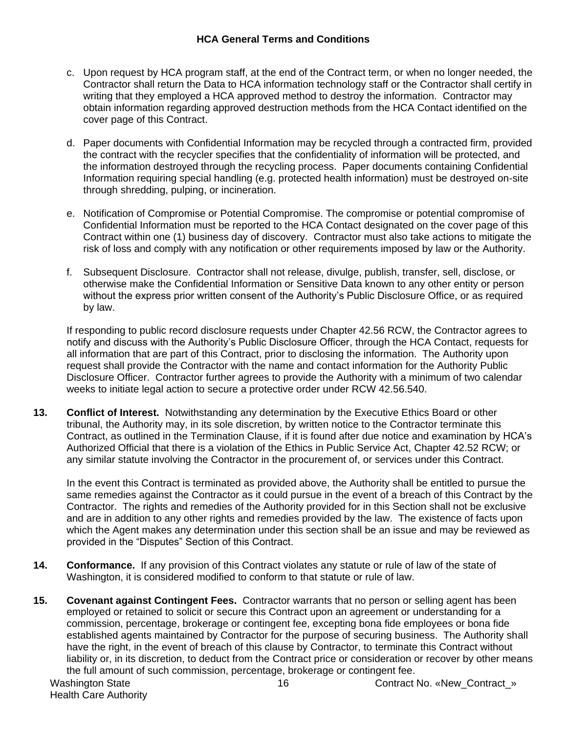#### **HCA General Terms and Conditions**

- c. Upon request by HCA program staff, at the end of the Contract term, or when no longer needed, the Contractor shall return the Data to HCA information technology staff or the Contractor shall certify in writing that they employed a HCA approved method to destroy the information. Contractor may obtain information regarding approved destruction methods from the HCA Contact identified on the cover page of this Contract.
- d. Paper documents with Confidential Information may be recycled through a contracted firm, provided the contract with the recycler specifies that the confidentiality of information will be protected, and the information destroyed through the recycling process. Paper documents containing Confidential Information requiring special handling (e.g. protected health information) must be destroyed on-site through shredding, pulping, or incineration.
- e. Notification of Compromise or Potential Compromise. The compromise or potential compromise of Confidential Information must be reported to the HCA Contact designated on the cover page of this Contract within one (1) business day of discovery. Contractor must also take actions to mitigate the risk of loss and comply with any notification or other requirements imposed by law or the Authority.
- f. Subsequent Disclosure. Contractor shall not release, divulge, publish, transfer, sell, disclose, or otherwise make the Confidential Information or Sensitive Data known to any other entity or person without the express prior written consent of the Authority's Public Disclosure Office, or as required by law.

If responding to public record disclosure requests under Chapter 42.56 RCW, the Contractor agrees to notify and discuss with the Authority's Public Disclosure Officer, through the HCA Contact, requests for all information that are part of this Contract, prior to disclosing the information. The Authority upon request shall provide the Contractor with the name and contact information for the Authority Public Disclosure Officer. Contractor further agrees to provide the Authority with a minimum of two calendar weeks to initiate legal action to secure a protective order under RCW 42.56.540.

**13. Conflict of Interest.** Notwithstanding any determination by the Executive Ethics Board or other tribunal, the Authority may, in its sole discretion, by written notice to the Contractor terminate this Contract, as outlined in the Termination Clause, if it is found after due notice and examination by HCA's Authorized Official that there is a violation of the Ethics in Public Service Act, Chapter 42.52 RCW; or any similar statute involving the Contractor in the procurement of, or services under this Contract.

In the event this Contract is terminated as provided above, the Authority shall be entitled to pursue the same remedies against the Contractor as it could pursue in the event of a breach of this Contract by the Contractor. The rights and remedies of the Authority provided for in this Section shall not be exclusive and are in addition to any other rights and remedies provided by the law. The existence of facts upon which the Agent makes any determination under this section shall be an issue and may be reviewed as provided in the "Disputes" Section of this Contract.

- **14. Conformance.** If any provision of this Contract violates any statute or rule of law of the state of Washington, it is considered modified to conform to that statute or rule of law.
- Washington State 16 Contract No. «New\_Contract\_» **15. Covenant against Contingent Fees.** Contractor warrants that no person or selling agent has been employed or retained to solicit or secure this Contract upon an agreement or understanding for a commission, percentage, brokerage or contingent fee, excepting bona fide employees or bona fide established agents maintained by Contractor for the purpose of securing business. The Authority shall have the right, in the event of breach of this clause by Contractor, to terminate this Contract without liability or, in its discretion, to deduct from the Contract price or consideration or recover by other means the full amount of such commission, percentage, brokerage or contingent fee.

Health Care Authority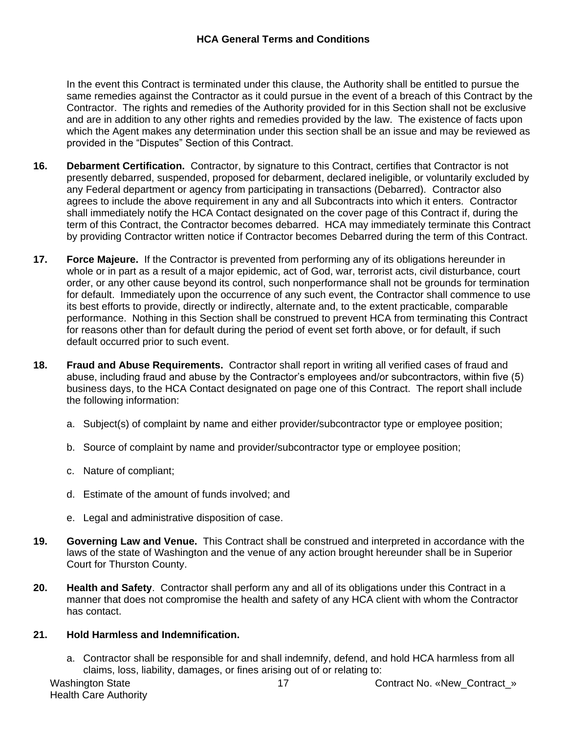In the event this Contract is terminated under this clause, the Authority shall be entitled to pursue the same remedies against the Contractor as it could pursue in the event of a breach of this Contract by the Contractor. The rights and remedies of the Authority provided for in this Section shall not be exclusive and are in addition to any other rights and remedies provided by the law. The existence of facts upon which the Agent makes any determination under this section shall be an issue and may be reviewed as provided in the "Disputes" Section of this Contract.

- **16. Debarment Certification.** Contractor, by signature to this Contract, certifies that Contractor is not presently debarred, suspended, proposed for debarment, declared ineligible, or voluntarily excluded by any Federal department or agency from participating in transactions (Debarred). Contractor also agrees to include the above requirement in any and all Subcontracts into which it enters. Contractor shall immediately notify the HCA Contact designated on the cover page of this Contract if, during the term of this Contract, the Contractor becomes debarred. HCA may immediately terminate this Contract by providing Contractor written notice if Contractor becomes Debarred during the term of this Contract.
- **17. Force Majeure.** If the Contractor is prevented from performing any of its obligations hereunder in whole or in part as a result of a major epidemic, act of God, war, terrorist acts, civil disturbance, court order, or any other cause beyond its control, such nonperformance shall not be grounds for termination for default. Immediately upon the occurrence of any such event, the Contractor shall commence to use its best efforts to provide, directly or indirectly, alternate and, to the extent practicable, comparable performance. Nothing in this Section shall be construed to prevent HCA from terminating this Contract for reasons other than for default during the period of event set forth above, or for default, if such default occurred prior to such event.
- **18. Fraud and Abuse Requirements.** Contractor shall report in writing all verified cases of fraud and abuse, including fraud and abuse by the Contractor's employees and/or subcontractors, within five (5) business days, to the HCA Contact designated on page one of this Contract. The report shall include the following information:
	- a. Subject(s) of complaint by name and either provider/subcontractor type or employee position;
	- b. Source of complaint by name and provider/subcontractor type or employee position;
	- c. Nature of compliant;
	- d. Estimate of the amount of funds involved; and
	- e. Legal and administrative disposition of case.
- **19. Governing Law and Venue.** This Contract shall be construed and interpreted in accordance with the laws of the state of Washington and the venue of any action brought hereunder shall be in Superior Court for Thurston County.
- **20. Health and Safety**. Contractor shall perform any and all of its obligations under this Contract in a manner that does not compromise the health and safety of any HCA client with whom the Contractor has contact.

# **21. Hold Harmless and Indemnification.**

a. Contractor shall be responsible for and shall indemnify, defend, and hold HCA harmless from all claims, loss, liability, damages, or fines arising out of or relating to:

Health Care Authority

Washington State 17 Mashington State 17 Contract No. «New\_Contract\_»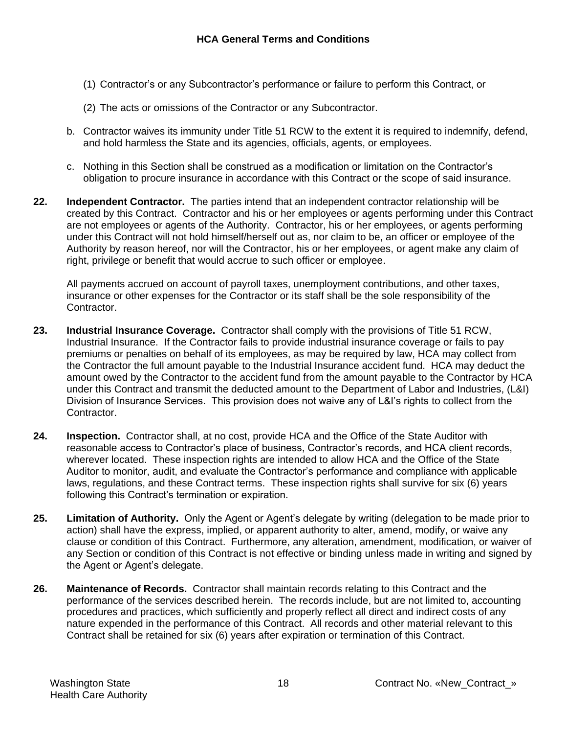- (1) Contractor's or any Subcontractor's performance or failure to perform this Contract, or
- (2) The acts or omissions of the Contractor or any Subcontractor.
- b. Contractor waives its immunity under Title 51 RCW to the extent it is required to indemnify, defend, and hold harmless the State and its agencies, officials, agents, or employees.
- c. Nothing in this Section shall be construed as a modification or limitation on the Contractor's obligation to procure insurance in accordance with this Contract or the scope of said insurance.
- **22. Independent Contractor.** The parties intend that an independent contractor relationship will be created by this Contract. Contractor and his or her employees or agents performing under this Contract are not employees or agents of the Authority. Contractor, his or her employees, or agents performing under this Contract will not hold himself/herself out as, nor claim to be, an officer or employee of the Authority by reason hereof, nor will the Contractor, his or her employees, or agent make any claim of right, privilege or benefit that would accrue to such officer or employee.

All payments accrued on account of payroll taxes, unemployment contributions, and other taxes, insurance or other expenses for the Contractor or its staff shall be the sole responsibility of the Contractor.

- **23. Industrial Insurance Coverage.** Contractor shall comply with the provisions of Title 51 RCW, Industrial Insurance. If the Contractor fails to provide industrial insurance coverage or fails to pay premiums or penalties on behalf of its employees, as may be required by law, HCA may collect from the Contractor the full amount payable to the Industrial Insurance accident fund. HCA may deduct the amount owed by the Contractor to the accident fund from the amount payable to the Contractor by HCA under this Contract and transmit the deducted amount to the Department of Labor and Industries, (L&I) Division of Insurance Services. This provision does not waive any of L&I's rights to collect from the Contractor.
- **24. Inspection.** Contractor shall, at no cost, provide HCA and the Office of the State Auditor with reasonable access to Contractor's place of business, Contractor's records, and HCA client records, wherever located. These inspection rights are intended to allow HCA and the Office of the State Auditor to monitor, audit, and evaluate the Contractor's performance and compliance with applicable laws, regulations, and these Contract terms. These inspection rights shall survive for six (6) years following this Contract's termination or expiration.
- **25. Limitation of Authority.** Only the Agent or Agent's delegate by writing (delegation to be made prior to action) shall have the express, implied, or apparent authority to alter, amend, modify, or waive any clause or condition of this Contract. Furthermore, any alteration, amendment, modification, or waiver of any Section or condition of this Contract is not effective or binding unless made in writing and signed by the Agent or Agent's delegate.
- **26. Maintenance of Records.** Contractor shall maintain records relating to this Contract and the performance of the services described herein. The records include, but are not limited to, accounting procedures and practices, which sufficiently and properly reflect all direct and indirect costs of any nature expended in the performance of this Contract. All records and other material relevant to this Contract shall be retained for six (6) years after expiration or termination of this Contract.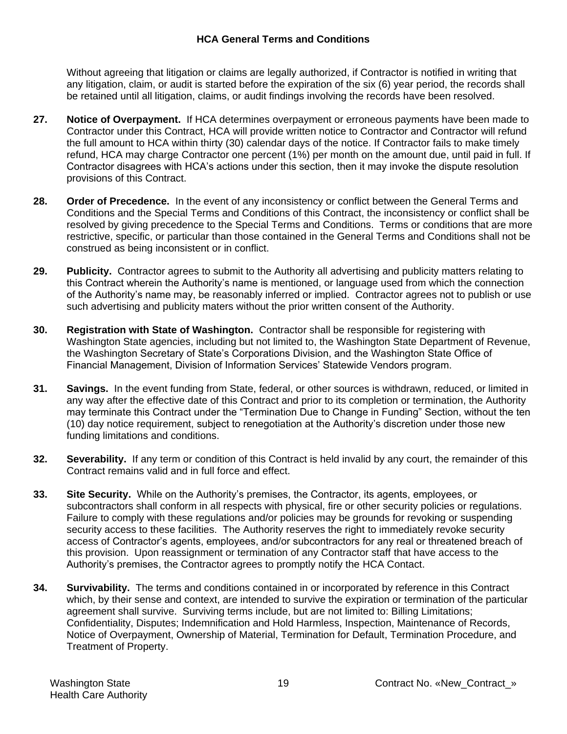### **HCA General Terms and Conditions**

Without agreeing that litigation or claims are legally authorized, if Contractor is notified in writing that any litigation, claim, or audit is started before the expiration of the six (6) year period, the records shall be retained until all litigation, claims, or audit findings involving the records have been resolved.

- **27. Notice of Overpayment.** If HCA determines overpayment or erroneous payments have been made to Contractor under this Contract, HCA will provide written notice to Contractor and Contractor will refund the full amount to HCA within thirty (30) calendar days of the notice. If Contractor fails to make timely refund, HCA may charge Contractor one percent (1%) per month on the amount due, until paid in full. If Contractor disagrees with HCA's actions under this section, then it may invoke the dispute resolution provisions of this Contract.
- **28. Order of Precedence.** In the event of any inconsistency or conflict between the General Terms and Conditions and the Special Terms and Conditions of this Contract, the inconsistency or conflict shall be resolved by giving precedence to the Special Terms and Conditions. Terms or conditions that are more restrictive, specific, or particular than those contained in the General Terms and Conditions shall not be construed as being inconsistent or in conflict.
- **29. Publicity.** Contractor agrees to submit to the Authority all advertising and publicity matters relating to this Contract wherein the Authority's name is mentioned, or language used from which the connection of the Authority's name may, be reasonably inferred or implied. Contractor agrees not to publish or use such advertising and publicity maters without the prior written consent of the Authority.
- **30. Registration with State of Washington.** Contractor shall be responsible for registering with Washington State agencies, including but not limited to, the Washington State Department of Revenue, the Washington Secretary of State's Corporations Division, and the Washington State Office of Financial Management, Division of Information Services' Statewide Vendors program.
- **31. Savings.** In the event funding from State, federal, or other sources is withdrawn, reduced, or limited in any way after the effective date of this Contract and prior to its completion or termination, the Authority may terminate this Contract under the "Termination Due to Change in Funding" Section, without the ten (10) day notice requirement, subject to renegotiation at the Authority's discretion under those new funding limitations and conditions.
- **32. Severability.** If any term or condition of this Contract is held invalid by any court, the remainder of this Contract remains valid and in full force and effect.
- **33. Site Security.** While on the Authority's premises, the Contractor, its agents, employees, or subcontractors shall conform in all respects with physical, fire or other security policies or regulations. Failure to comply with these regulations and/or policies may be grounds for revoking or suspending security access to these facilities. The Authority reserves the right to immediately revoke security access of Contractor's agents, employees, and/or subcontractors for any real or threatened breach of this provision. Upon reassignment or termination of any Contractor staff that have access to the Authority's premises, the Contractor agrees to promptly notify the HCA Contact.
- **34. Survivability.** The terms and conditions contained in or incorporated by reference in this Contract which, by their sense and context, are intended to survive the expiration or termination of the particular agreement shall survive. Surviving terms include, but are not limited to: Billing Limitations; Confidentiality, Disputes; Indemnification and Hold Harmless, Inspection, Maintenance of Records, Notice of Overpayment, Ownership of Material, Termination for Default, Termination Procedure, and Treatment of Property.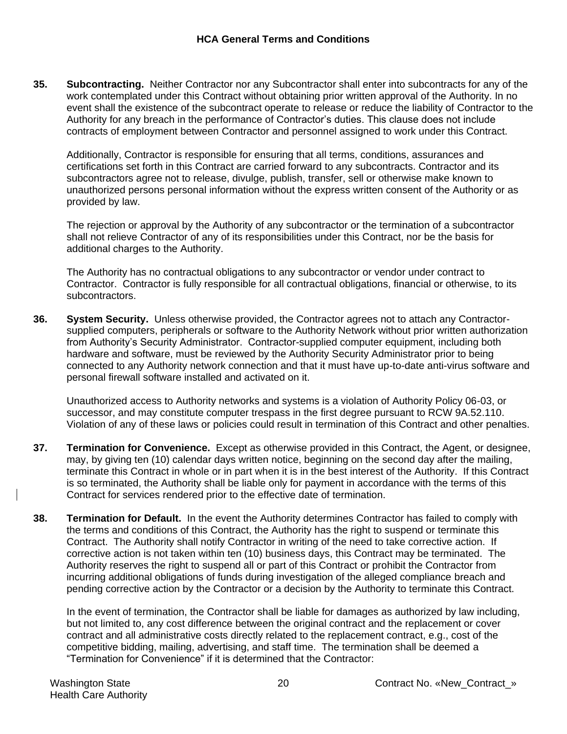**35. Subcontracting.** Neither Contractor nor any Subcontractor shall enter into subcontracts for any of the work contemplated under this Contract without obtaining prior written approval of the Authority. In no event shall the existence of the subcontract operate to release or reduce the liability of Contractor to the Authority for any breach in the performance of Contractor's duties. This clause does not include contracts of employment between Contractor and personnel assigned to work under this Contract.

Additionally, Contractor is responsible for ensuring that all terms, conditions, assurances and certifications set forth in this Contract are carried forward to any subcontracts. Contractor and its subcontractors agree not to release, divulge, publish, transfer, sell or otherwise make known to unauthorized persons personal information without the express written consent of the Authority or as provided by law.

The rejection or approval by the Authority of any subcontractor or the termination of a subcontractor shall not relieve Contractor of any of its responsibilities under this Contract, nor be the basis for additional charges to the Authority.

The Authority has no contractual obligations to any subcontractor or vendor under contract to Contractor. Contractor is fully responsible for all contractual obligations, financial or otherwise, to its subcontractors.

**36. System Security.** Unless otherwise provided, the Contractor agrees not to attach any Contractorsupplied computers, peripherals or software to the Authority Network without prior written authorization from Authority's Security Administrator. Contractor-supplied computer equipment, including both hardware and software, must be reviewed by the Authority Security Administrator prior to being connected to any Authority network connection and that it must have up-to-date anti-virus software and personal firewall software installed and activated on it.

Unauthorized access to Authority networks and systems is a violation of Authority Policy 06-03, or successor, and may constitute computer trespass in the first degree pursuant to RCW 9A.52.110. Violation of any of these laws or policies could result in termination of this Contract and other penalties.

- **37. Termination for Convenience.** Except as otherwise provided in this Contract, the Agent, or designee, may, by giving ten (10) calendar days written notice, beginning on the second day after the mailing, terminate this Contract in whole or in part when it is in the best interest of the Authority. If this Contract is so terminated, the Authority shall be liable only for payment in accordance with the terms of this Contract for services rendered prior to the effective date of termination.
- **38. Termination for Default.** In the event the Authority determines Contractor has failed to comply with the terms and conditions of this Contract, the Authority has the right to suspend or terminate this Contract. The Authority shall notify Contractor in writing of the need to take corrective action. If corrective action is not taken within ten (10) business days, this Contract may be terminated. The Authority reserves the right to suspend all or part of this Contract or prohibit the Contractor from incurring additional obligations of funds during investigation of the alleged compliance breach and pending corrective action by the Contractor or a decision by the Authority to terminate this Contract.

In the event of termination, the Contractor shall be liable for damages as authorized by law including, but not limited to, any cost difference between the original contract and the replacement or cover contract and all administrative costs directly related to the replacement contract, e.g., cost of the competitive bidding, mailing, advertising, and staff time. The termination shall be deemed a "Termination for Convenience" if it is determined that the Contractor: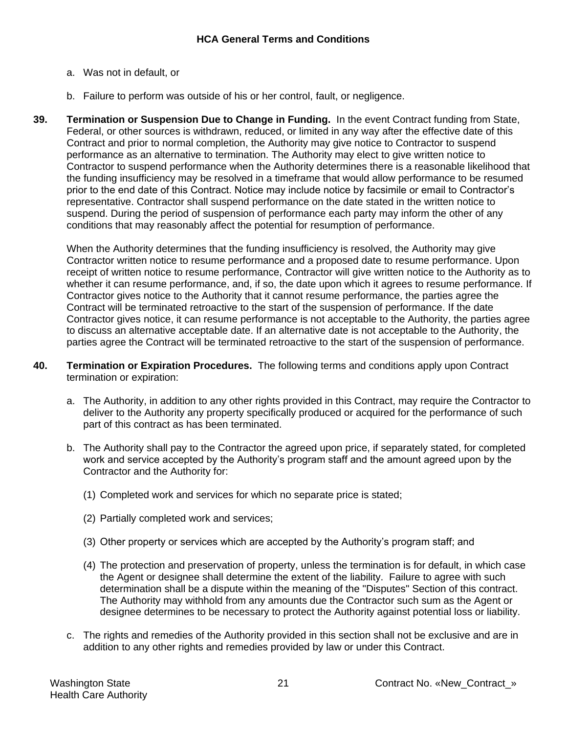- a. Was not in default, or
- b. Failure to perform was outside of his or her control, fault, or negligence.
- **39. Termination or Suspension Due to Change in Funding.** In the event Contract funding from State, Federal, or other sources is withdrawn, reduced, or limited in any way after the effective date of this Contract and prior to normal completion, the Authority may give notice to Contractor to suspend performance as an alternative to termination. The Authority may elect to give written notice to Contractor to suspend performance when the Authority determines there is a reasonable likelihood that the funding insufficiency may be resolved in a timeframe that would allow performance to be resumed prior to the end date of this Contract. Notice may include notice by facsimile or email to Contractor's representative. Contractor shall suspend performance on the date stated in the written notice to suspend. During the period of suspension of performance each party may inform the other of any conditions that may reasonably affect the potential for resumption of performance.

When the Authority determines that the funding insufficiency is resolved, the Authority may give Contractor written notice to resume performance and a proposed date to resume performance. Upon receipt of written notice to resume performance, Contractor will give written notice to the Authority as to whether it can resume performance, and, if so, the date upon which it agrees to resume performance. If Contractor gives notice to the Authority that it cannot resume performance, the parties agree the Contract will be terminated retroactive to the start of the suspension of performance. If the date Contractor gives notice, it can resume performance is not acceptable to the Authority, the parties agree to discuss an alternative acceptable date. If an alternative date is not acceptable to the Authority, the parties agree the Contract will be terminated retroactive to the start of the suspension of performance.

- **40. Termination or Expiration Procedures.** The following terms and conditions apply upon Contract termination or expiration:
	- a. The Authority, in addition to any other rights provided in this Contract, may require the Contractor to deliver to the Authority any property specifically produced or acquired for the performance of such part of this contract as has been terminated.
	- b. The Authority shall pay to the Contractor the agreed upon price, if separately stated, for completed work and service accepted by the Authority's program staff and the amount agreed upon by the Contractor and the Authority for:
		- (1) Completed work and services for which no separate price is stated;
		- (2) Partially completed work and services;
		- (3) Other property or services which are accepted by the Authority's program staff; and
		- (4) The protection and preservation of property, unless the termination is for default, in which case the Agent or designee shall determine the extent of the liability. Failure to agree with such determination shall be a dispute within the meaning of the "Disputes" Section of this contract. The Authority may withhold from any amounts due the Contractor such sum as the Agent or designee determines to be necessary to protect the Authority against potential loss or liability.
	- c. The rights and remedies of the Authority provided in this section shall not be exclusive and are in addition to any other rights and remedies provided by law or under this Contract.